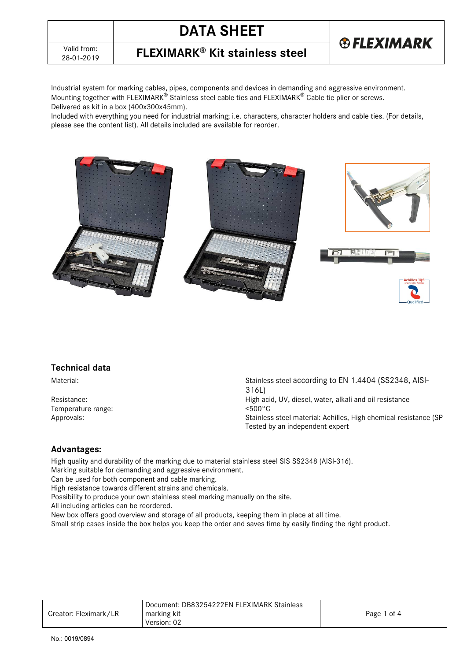

28-01-2019 **FLEXIMARK® Kit stainless steel**

Industrial system for marking cables, pipes, components and devices in demanding and aggressive environment. Mounting together with FLEXIMARK**®** Stainless steel cable ties and FLEXIMARK**®** Cable tie plier or screws. Delivered as kit in a box (400x300x45mm).

Included with everything you need for industrial marking; i.e. characters, character holders and cable ties. (For details, please see the content list). All details included are available for reorder.



### **Technical data**

Temperature range:

Material: Material: Stainless steel according to EN 1.4404 (SS2348, AISI-316L) Resistance:  $\overline{H}$  Resistance:  $\overline{H}$  High acid, UV, diesel, water, alkali and oil resistance  $\overline{H}$  respectively. Approvals: Approvals: Approvals: Stainless steel material: Achilles, High chemical resistance (SP Tested by an independent expert

### **Advantages:**

High quality and durability of the marking due to material stainless steel SIS SS2348 (AISI-316). Marking suitable for demanding and aggressive environment.

Can be used for both component and cable marking.

High resistance towards different strains and chemicals.

Possibility to produce your own stainless steel marking manually on the site.

All including articles can be reordered.

New box offers good overview and storage of all products, keeping them in place at all time.

Small strip cases inside the box helps you keep the order and saves time by easily finding the right product.

|                       | Document: DB83254222EN FLEXIMARK Stainless |             |
|-----------------------|--------------------------------------------|-------------|
| Creator: Fleximark/LR | marking kit                                | Page 1 of 4 |
|                       | Version: 02                                |             |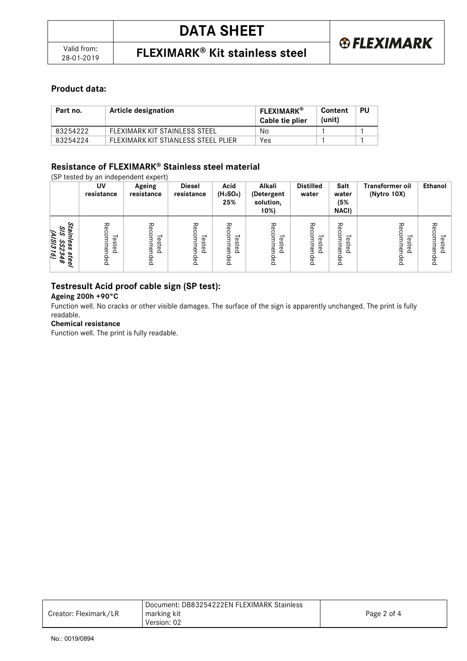### **Product data:**

| Part no. | Article designation                 | <b>FLEXIMARK®</b><br>Cable tie plier | Content<br>(unit) | PU |
|----------|-------------------------------------|--------------------------------------|-------------------|----|
| 83254222 | FLEXIMARK KIT STAINLESS STEEL       | No                                   |                   |    |
| 83254224 | FLEXIMARK KIT STIANLESS STEEL PLIER | Yes                                  |                   |    |

### **Resistance of FLEXIMARK® Stainless steel material**

(SP tested by an independent expert)

|                                                                                   | UV<br>resistance              | Ageing<br>resistance        | <b>Diesel</b><br>resistance                 | Acid<br>(H <sub>2</sub> SO <sub>4</sub> )<br>25%           | Alkali<br>(Detergent<br>solution,<br>10%) | <b>Distilled</b><br>water                  | Salt<br>water<br>(5%<br><b>NACI)</b>                        | <b>Transformer oil</b><br>(Nytro 10X)        | Ethanol                            |
|-----------------------------------------------------------------------------------|-------------------------------|-----------------------------|---------------------------------------------|------------------------------------------------------------|-------------------------------------------|--------------------------------------------|-------------------------------------------------------------|----------------------------------------------|------------------------------------|
| Stainless<br>$^{2/5}$<br><b>AISI316</b><br>S<br>Š,<br>steel<br>ω<br>A<br>$\sigma$ | Recom<br>–<br>ested<br>mended | Rec<br>ᅳ<br>ested<br>mended | 공<br>င္ဟ<br>men<br>ನ<br>$\Omega$<br>흐<br>eq | る<br>o<br>⊣<br>este<br>$\mathbf{B}$<br>$\Omega$<br>Q<br>eq | ٩<br>commen<br>ested<br>ded               | ΡĞ<br>C<br>$\circ$<br>—<br>ested<br>mended | る<br>ດ<br>0<br>–<br>з<br>este<br>men<br>غ<br>$\Omega$<br>pa | る<br>⊣<br>ወ<br>Ō<br>ಕ<br>ዳ<br>$\Omega$<br>eq | ゐ<br>ወ<br>Ū)<br>ಸ<br>ዳ<br>っ<br>ded |

### **Testresult Acid proof cable sign (SP test):**

**Ageing 200h +90°C**

Function well. No cracks or other visible damages. The surface of the sign is apparently unchanged. The print is fully readable.

#### **Chemical resistance**

Function well. The print is fully readable.

|                       | Document: DB83254222EN FLEXIMARK Stainless |             |
|-----------------------|--------------------------------------------|-------------|
| Creator: Fleximark/LR | marking kit                                | Page 2 of 4 |
|                       | Version: 02                                |             |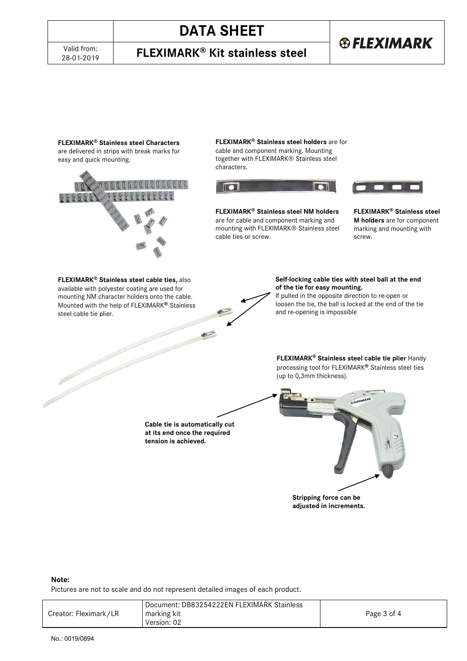# **DATA SHEET**

28-01-2019 **FLEXIMARK® Kit stainless steel**

# **®FLEXIMARK**

**FLEXIMARK® Stainless steel Characters** are delivered in strips with break marks for easy and quick mounting.



**FLEXIMARK® Stainless steel holders** are for cable and component marking. Mounting together with FLEXIMARK® Stainless steel characters.



**FLEXIMARK® Stainless steel NM holders** are for cable and component marking and mounting with FLEXIMARK® Stainless steel cable ties or screw.



**FLEXIMARK® Stainless steel M holders** are for component marking and mounting with screw.

**FLEXIMARK® Stainless steel cable ties,** also available with polyester coating are used for mounting NM character holders onto the cable. Mounted with the help of FLEXIMARK**®** Stainless steel cable tie plier.



**Self-locking cable ties with steel ball at the end of the tie for easy mounting.** 

If pulled in the opposite direction to re-open or loosen the tie, the ball is locked at the end of the tie and re-opening is impossible

**FLEXIMARK® Stainless steel cable tie plier** Handy processing tool for FLEXIMARK**®** Stainless steel ties (up to 0,3mm thickness).

**Cable tie is automatically cut at its end once the required tension is achieved.**



#### **Note:**

Pictures are not to scale and do not represent detailed images of each product.

| marking kit<br>Creator: Fleximark/LR<br>Page 3 of 4<br>Version: 02 |  | Document: DB83254222EN FLEXIMARK Stainless |  |
|--------------------------------------------------------------------|--|--------------------------------------------|--|
|--------------------------------------------------------------------|--|--------------------------------------------|--|